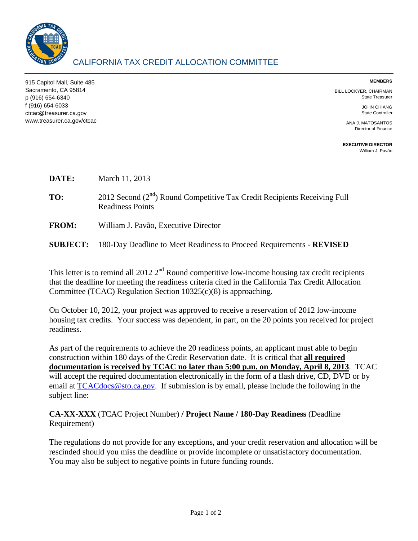

915 Capitol Mall, Suite 485 Sacramento, CA 95814 p (916) 654-6340 f (916) 654-6033 ctcac@treasurer.ca.gov www.treasurer.ca.gov/ctcac **MEMBERS** 

BILL LOCKYER, CHAIRMAN State Treasurer

> JOHN CHIANG State Controller

ANA J. MATOSANTOS Director of Finance

**EXECUTIVE DIRECTOR**  [William J. Pavão](mailto:wpavao@treasurer.ca.gov)

- **DATE:** March 11, 2013
- **TO:** 2012 Second (2<sup>nd</sup>) Round Competitive Tax Credit Recipients Receiving Full Readiness Points
- **FROM:** William J. Pavão, Executive Director
- **SUBJECT:** 180-Day Deadline to Meet Readiness to Proceed Requirements **REVISED**

This letter is to remind all 2012  $2<sup>nd</sup>$  Round competitive low-income housing tax credit recipients that the deadline for meeting the readiness criteria cited in the California Tax Credit Allocation Committee (TCAC) Regulation Section 10325(c)(8) is approaching.

On October 10, 2012, your project was approved to receive a reservation of 2012 low-income housing tax credits. Your success was dependent, in part, on the 20 points you received for project readiness.

As part of the requirements to achieve the 20 readiness points, an applicant must able to begin construction within 180 days of the Credit Reservation date. It is critical that **all required documentation is received by TCAC no later than 5:00 p.m. on Monday, April 8, 2013**. TCAC will accept the required documentation electronically in the form of a flash drive, CD, DVD or by email at [TCACdocs@sto.ca.gov.](mailto:TCACdocs@sto.ca.gov) If submission is by email, please include the following in the subject line:

**CA-XX-XXX** (TCAC Project Number) **/ Project Name / 180-Day Readiness** (Deadline Requirement)

The regulations do not provide for any exceptions, and your credit reservation and allocation will be rescinded should you miss the deadline or provide incomplete or unsatisfactory documentation. You may also be subject to negative points in future funding rounds.